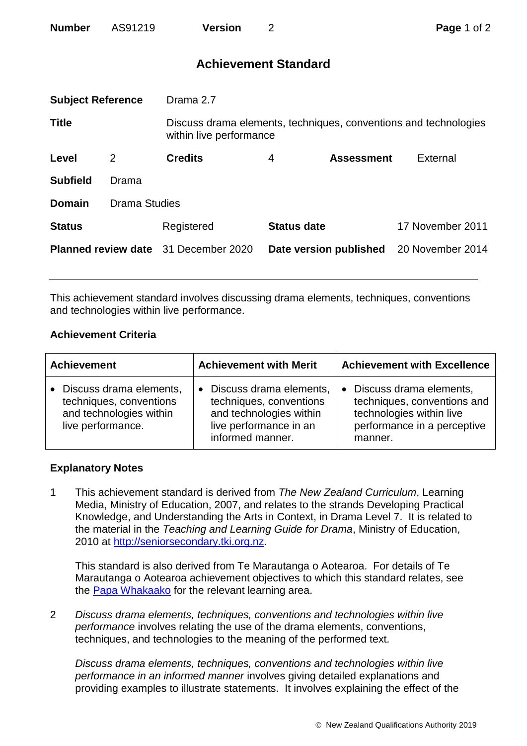| <b>Number</b> | AS91219 | <b>Version</b> |
|---------------|---------|----------------|
|               |         |                |

# **Achievement Standard**

| <b>Subject Reference</b>   |       | Drama 2.7                                                                                   |                        |                   |                  |  |
|----------------------------|-------|---------------------------------------------------------------------------------------------|------------------------|-------------------|------------------|--|
| <b>Title</b>               |       | Discuss drama elements, techniques, conventions and technologies<br>within live performance |                        |                   |                  |  |
| Level                      | 2     | <b>Credits</b>                                                                              | 4                      | <b>Assessment</b> | External         |  |
| <b>Subfield</b>            | Drama |                                                                                             |                        |                   |                  |  |
| <b>Domain</b>              |       | <b>Drama Studies</b>                                                                        |                        |                   |                  |  |
| <b>Status</b>              |       | Registered                                                                                  | <b>Status date</b>     |                   | 17 November 2011 |  |
| <b>Planned review date</b> |       | 31 December 2020                                                                            | Date version published |                   | 20 November 2014 |  |
|                            |       |                                                                                             |                        |                   |                  |  |

This achievement standard involves discussing drama elements, techniques, conventions and technologies within live performance.

## **Achievement Criteria**

| <b>Achievement</b>                                                                                   | <b>Achievement with Merit</b>                                                                                                            | <b>Achievement with Excellence</b>                                                                                                        |  |
|------------------------------------------------------------------------------------------------------|------------------------------------------------------------------------------------------------------------------------------------------|-------------------------------------------------------------------------------------------------------------------------------------------|--|
| • Discuss drama elements,<br>techniques, conventions<br>and technologies within<br>live performance. | Discuss drama elements,<br>$\bullet$<br>techniques, conventions<br>and technologies within<br>live performance in an<br>informed manner. | Discuss drama elements,<br>$\bullet$<br>techniques, conventions and<br>technologies within live<br>performance in a perceptive<br>manner. |  |

#### **Explanatory Notes**

1 This achievement standard is derived from *The New Zealand Curriculum*, Learning Media, Ministry of Education, 2007, and relates to the strands Developing Practical Knowledge, and Understanding the Arts in Context, in Drama Level 7. It is related to the material in the *Teaching and Learning Guide for Drama*, Ministry of Education, 2010 at [http://seniorsecondary.tki.org.nz.](http://seniorsecondary.tki.org.nz/)

This standard is also derived from Te Marautanga o Aotearoa. For details of Te Marautanga o Aotearoa achievement objectives to which this standard relates, see the [Papa Whakaako](http://tmoa.tki.org.nz/Te-Marautanga-o-Aotearoa/Taumata-Matauranga-a-Motu-Ka-Taea) for the relevant learning area.

2 *Discuss drama elements, techniques, conventions and technologies within live performance* involves relating the use of the drama elements, conventions, techniques, and technologies to the meaning of the performed text*.*

*Discuss drama elements, techniques, conventions and technologies within live performance in an informed manner* involves giving detailed explanations and providing examples to illustrate statements. It involves explaining the effect of the